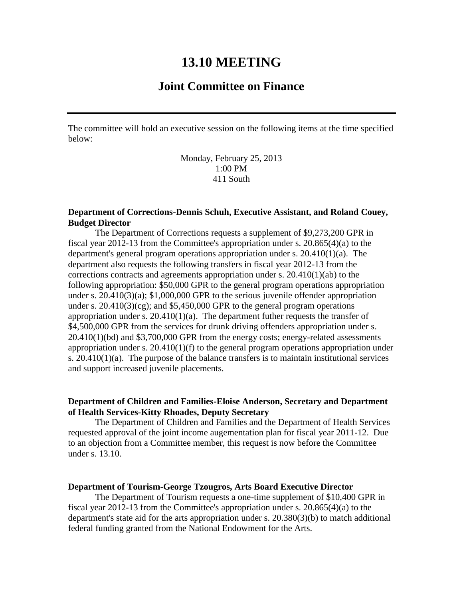# **13.10 MEETING**

# **Joint Committee on Finance**

The committee will hold an executive session on the following items at the time specified below:

> Monday, February 25, 2013 1:00 PM 411 South

# **Department of Corrections-Dennis Schuh, Executive Assistant, and Roland Couey, Budget Director**

The Department of Corrections requests a supplement of \$9,273,200 GPR in fiscal year 2012-13 from the Committee's appropriation under s. 20.865(4)(a) to the department's general program operations appropriation under s.  $20.410(1)(a)$ . The department also requests the following transfers in fiscal year 2012-13 from the corrections contracts and agreements appropriation under s. 20.410(1)(ab) to the following appropriation: \$50,000 GPR to the general program operations appropriation under s. 20.410(3)(a); \$1,000,000 GPR to the serious juvenile offender appropriation under s.  $20.410(3)(cg)$ ; and \$5,450,000 GPR to the general program operations appropriation under s.  $20.410(1)(a)$ . The department futher requests the transfer of \$4,500,000 GPR from the services for drunk driving offenders appropriation under s. 20.410(1)(bd) and \$3,700,000 GPR from the energy costs; energy-related assessments appropriation under s. 20.410(1)(f) to the general program operations appropriation under s.  $20.410(1)(a)$ . The purpose of the balance transfers is to maintain institutional services and support increased juvenile placements.

# **Department of Children and Families-Eloise Anderson, Secretary and Department of Health Services-Kitty Rhoades, Deputy Secretary**

The Department of Children and Families and the Department of Health Services requested approval of the joint income augementation plan for fiscal year 2011-12. Due to an objection from a Committee member, this request is now before the Committee under s. 13.10.

#### **Department of Tourism-George Tzougros, Arts Board Executive Director**

The Department of Tourism requests a one-time supplement of \$10,400 GPR in fiscal year 2012-13 from the Committee's appropriation under s. 20.865(4)(a) to the department's state aid for the arts appropriation under s. 20.380(3)(b) to match additional federal funding granted from the National Endowment for the Arts.